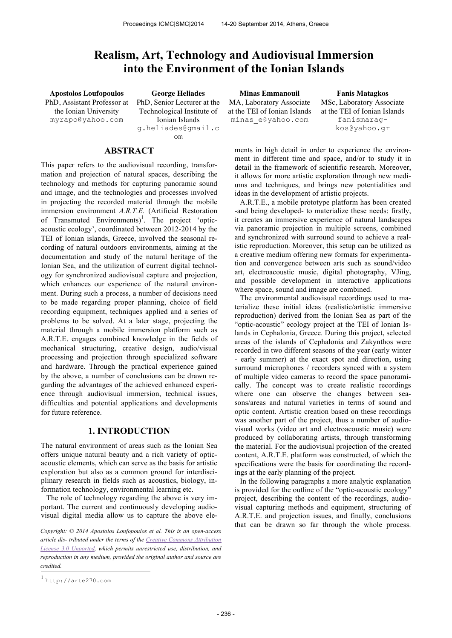# **Realism, Art, Technology and Audiovisual Immersion into the Environment of the Ionian Islands**

PhD, Assistant Professor at the Ionian University myrapo@yahoo.com

PhD, Senior Lecturer at the Technological Institute of Ionian Islands g.heliades@gmail.c om

## **ABSTRACT**

This paper refers to the audiovisual recording, transformation and projection of natural spaces, describing the technology and methods for capturing panoramic sound and image, and the technologies and processes involved in projecting the recorded material through the mobile immersion environment *A.R.T.E.* (Artificial Restoration of Transmuted Environments)<sup>1</sup>. The project 'opticacoustic ecology', coordinated between 2012-2014 by the TEI of Ionian islands, Greece, involved the seasonal recording of natural outdoors environments, aiming at the documentation and study of the natural heritage of the Ionian Sea, and the utilization of current digital technology for synchronized audiovisual capture and projection, which enhances our experience of the natural environment. During such a process, a number of decisions need to be made regarding proper planning, choice of field recording equipment, techniques applied and a series of problems to be solved. At a later stage, projecting the material through a mobile immersion platform such as A.R.T.E. engages combined knowledge in the fields of mechanical structuring, creative design, audio/visual processing and projection through specialized software and hardware. Through the practical experience gained by the above, a number of conclusions can be drawn regarding the advantages of the achieved enhanced experience through audiovisual immersion, technical issues, difficulties and potential applications and developments for future reference.

### **1. INTRODUCTION**

The natural environment of areas such as the Ionian Sea offers unique natural beauty and a rich variety of opticacoustic elements, which can serve as the basis for artistic exploration but also as a common ground for interdisciplinary research in fields such as acoustics, biology, information technology, environmental learning etc.

The role of technology regarding the above is very important. The current and continuously developing audiovisual digital media allow us to capture the above ele-

 $\overline{a}$ *Copyright: © 2014 Apostolos Loufopoulos et al. This is an open-access article dis- tributed under the terms of the Creative Commons Attribution License 3.0 Unported, which permits unrestricted use, distribution, and reproduction in any medium, provided the original author and source are credited.*

**Apostolos Loufopoulos George Heliades Minas Emmanouil Fanis Matagkos** MA, Laboratory Associate at the TEI of Ionian Islands minas\_e@yahoo.com

MSc, Laboratory Associate at the TEI of Ionian Islands fanismaragkos@yahoo.gr

ments in high detail in order to experience the environment in different time and space, and/or to study it in detail in the framework of scientific research. Moreover, it allows for more artistic exploration through new mediums and techniques, and brings new potentialities and ideas in the development of artistic projects.

A.R.T.E., a mobile prototype platform has been created -and being developed- to materialize these needs: firstly, it creates an immersive experience of natural landscapes via panoramic projection in multiple screens, combined and synchronized with surround sound to achieve a realistic reproduction. Moreover, this setup can be utilized as a creative medium offering new formats for experimentation and convergence between arts such as sound/video art, electroacoustic music, digital photography, VJing, and possible development in interactive applications where space, sound and image are combined.

The environmental audiovisual recordings used to materialize these initial ideas (realistic/artistic immersive reproduction) derived from the Ionian Sea as part of the "optic-acoustic" ecology project at the TEI of Ionian Islands in Cephalonia, Greece. During this project, selected areas of the islands of Cephalonia and Zakynthos were recorded in two different seasons of the year (early winter - early summer) at the exact spot and direction, using surround microphones / recorders synced with a system of multiple video cameras to record the space panoramically. The concept was to create realistic recordings where one can observe the changes between seasons/areas and natural varieties in terms of sound and optic content. Artistic creation based on these recordings was another part of the project, thus a number of audiovisual works (video art and electroacoustic music) were produced by collaborating artists, through transforming the material. For the audiovisual projection of the created content, A.R.T.E. platform was constructed, of which the specifications were the basis for coordinating the recordings at the early planning of the project.

In the following paragraphs a more analytic explanation is provided for the outline of the "optic-acoustic ecology" project, describing the content of the recordings, audiovisual capturing methods and equipment, structuring of A.R.T.E. and projection issues, and finally, conclusions that can be drawn so far through the whole process.

<sup>1</sup> http://arte270.com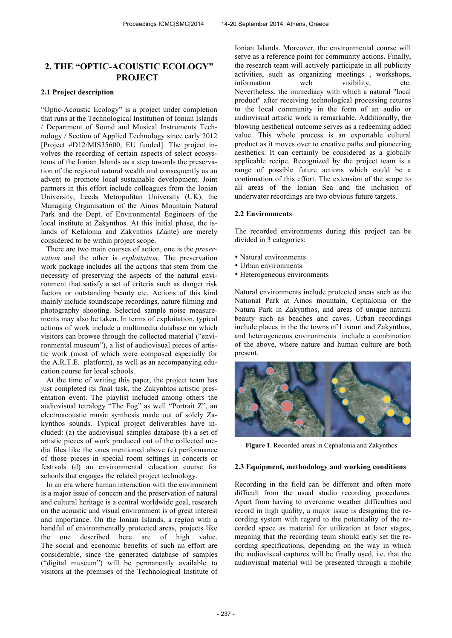# **2. THE "OPTIC-ACOUSTIC ECOLOGY" PROJECT**

### **2.1 Project description**

"Optic-Acoustic Ecology" is a project under completion that runs at the Technological Institution of Ionian Islands / Department of Sound and Musical Instruments Technology / Section of Applied Technology since early 2012 [Project #D12/MIS35600, EU funded]. The project involves the recording of certain aspects of select ecosystems of the Ionian Islands as a step towards the preservation of the regional natural wealth and consequently as an advent to promote local sustainable development. Joint partners in this effort include colleagues from the Ionian University, Leeds Metropolitan University (UK), the Managing Organisation of the Ainos Mountain Natural Park and the Dept. of Environmental Engineers of the local institute at Zakynthos. At this initial phase, the islands of Kefalonia and Zakynthos (Zante) are merely considered to be within project scope.

There are two main courses of action, one is the *preservation* and the other is *exploitation*. The preservation work package includes all the actions that stem from the necessity of preserving the aspects of the natural environment that satisfy a set of criteria such as danger risk factors or outstanding beauty etc. Actions of this kind mainly include soundscape recordings, nature filming and photography shooting. Selected sample noise measurements may also be taken. In terms of exploitation, typical actions of work include a multimedia database on which visitors can browse through the collected material ("environmental museum"), a list of audiovisual pieces of artistic work (most of which were composed especially for the A.R.T.E. platform), as well as an accompanying education course for local schools.

At the time of writing this paper, the project team has just completed its final task, the Zakynhtos artistic presentation event. The playlist included among others the audiovisual tetralogy "The Fog" as well "Portrait Z", an electroacoustic music synthesis made out of solely Zakynthos sounds. Typical project deliverables have included: (a) the audiovisual samples database (b) a set of artistic pieces of work produced out of the collected media files like the ones mentioned above (c) performance of those pieces in special room settings in concerts or festivals (d) an environmental education course for schools that engages the related project technology.

In an era where human interaction with the environment is a major issue of concern and the preservation of natural and cultural heritage is a central worldwide goal, research on the acoustic and visual environment is of great interest and importance. On the Ionian Islands, a region with a handful of environmentally protected areas, projects like the one described here are of high value. The social and economic benefits of such an effort are considerable, since the generated database of samples ("digital museum") will be permanently available to visitors at the premises of the Technological Institute of Ionian Islands. Moreover, the environmental course will serve as a reference point for community actions. Finally, the research team will actively participate in all publicity activities, such as organizing meetings , workshops, information web visibility, etc. Nevertheless, the immediacy with which a natural "local product" after receiving technological processing returns to the local community in the form of an audio or audiovisual artistic work is remarkable. Additionally, the blowing aesthetical outcome serves as a redeeming added value. This whole process is an exportable cultural product as it moves over to creative paths and pioneering aesthetics. It can certainly be considered as a globally applicable recipe. Recognized by the project team is a range of possible future actions which could be a continuation of this effort. The extension of the scope to all areas of the Ionian Sea and the inclusion of underwater recordings are two obvious future targets.

### **2.2 Environments**

The recorded environments during this project can be divided in 3 categories:

- Natural environments
- Urban environments
- Heterogeneous environments

Natural environments include protected areas such as the National Park at Ainos mountain, Cephalonia or the Natura Park in Zakynthos, and areas of unique natural beauty such as beaches and caves. Urban recordings include places in the the towns of Lixouri and Zakynthos, and heterogeneous environments include a combination of the above, where nature and human culture are both present.



**Figure 1**. Recorded areas in Cephalonia and Zakynthos

#### **2.3 Equipment, methodology and working conditions**

Recording in the field can be different and often more difficult from the usual studio recording procedures. Apart from having to overcome weather difficulties and record in high quality, a major issue is designing the recording system with regard to the potentiality of the recorded space as material for utilization at later stages, meaning that the recording team should early set the recording specifications, depending on the way in which the audiovisual captures will be finally used, i.e. that the audiovisual material will be presented through a mobile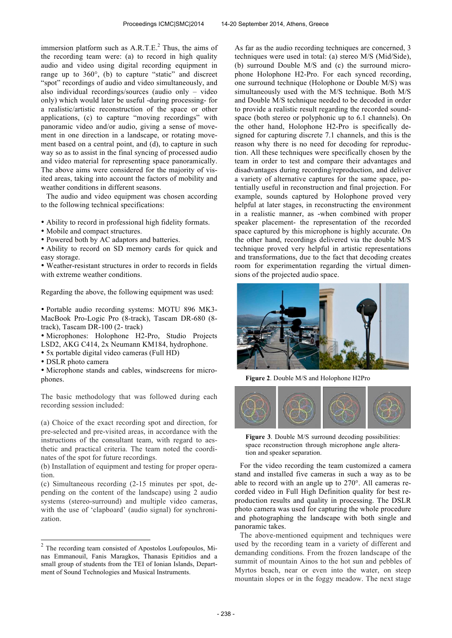immersion platform such as  $A.R.T.E.<sup>2</sup>$  Thus, the aims of the recording team were: (a) to record in high quality audio and video using digital recording equipment in range up to 360°, (b) to capture "static" and discreet "spot" recordings of audio and video simultaneously, and also individual recordings/sources (audio only – video only) which would later be useful -during processing- for a realistic/artistic reconstruction of the space or other applications, (c) to capture "moving recordings" with panoramic video and/or audio, giving a sense of movement in one direction in a landscape, or rotating movement based on a central point, and (d), to capture in such way so as to assist in the final syncing of processed audio and video material for representing space panoramically. The above aims were considered for the majority of visited areas, taking into account the factors of mobility and weather conditions in different seasons.

The audio and video equipment was chosen according to the following technical specifications:

- Ability to record in professional high fidelity formats.
- Mobile and compact structures.
- Powered both by AC adaptors and batteries.

• Ability to record on SD memory cards for quick and easy storage.

• Weather-resistant structures in order to records in fields with extreme weather conditions.

Regarding the above, the following equipment was used:

• Portable audio recording systems: MOTU 896 MK3- MacBook Pro-Logic Pro (8-track), Tascam DR-680 (8 track), Tascam DR-100 (2- track)

• Microphones: Holophone H2-Pro, Studio Projects LSD2, AKG C414, 2x Neumann KM184, hydrophone.

- 5x portable digital video cameras (Full HD)
- DSLR photo camera

• Microphone stands and cables, windscreens for microphones.

The basic methodology that was followed during each recording session included:

(a) Choice of the exact recording spot and direction, for pre-selected and pre-visited areas, in accordance with the instructions of the consultant team, with regard to aesthetic and practical criteria. The team noted the coordinates of the spot for future recordings.

(b) Installation of equipment and testing for proper operation.

(c) Simultaneous recording (2-15 minutes per spot, depending on the content of the landscape) using 2 audio systems (stereo-surround) and multiple video cameras, with the use of 'clapboard' (audio signal) for synchronization.

As far as the audio recording techniques are concerned, 3 techniques were used in total: (a) stereo M/S (Mid/Side), (b) surround Double M/S and (c) the surround microphone Holophone H2-Pro. For each synced recording, one surround technique (Holophone or Double M/S) was simultaneously used with the M/S technique. Both M/S and Double M/S technique needed to be decoded in order to provide a realistic result regarding the recorded soundspace (both stereo or polyphonic up to 6.1 channels). On the other hand, Holophone H2-Pro is specifically designed for capturing discrete 7.1 channels, and this is the reason why there is no need for decoding for reproduction. All these techniques were specifically chosen by the team in order to test and compare their advantages and disadvantages during recording/reproduction, and deliver a variety of alternative captures for the same space, potentially useful in reconstruction and final projection. For example, sounds captured by Holophone proved very helpful at later stages, in reconstructing the environment in a realistic manner, as -when combined with proper speaker placement- the representation of the recorded space captured by this microphone is highly accurate. On the other hand, recordings delivered via the double M/S technique proved very helpful in artistic representations and transformations, due to the fact that decoding creates room for experimentation regarding the virtual dimensions of the projected audio space.



**Figure 2**. Double M/S and Holophone H2Pro



**Figure 3**. Double M/S surround decoding possibilities: space reconstruction through microphone angle alteration and speaker separation.

For the video recording the team customized a camera stand and installed five cameras in such a way as to be able to record with an angle up to 270°. All cameras recorded video in Full High Definition quality for best reproduction results and quality in processing. The DSLR photo camera was used for capturing the whole procedure and photographing the landscape with both single and panoramic takes.

The above-mentioned equipment and techniques were used by the recording team in a variety of different and demanding conditions. From the frozen landscape of the summit of mountain Ainos to the hot sun and pebbles of Myrtos beach, near or even into the water, on steep mountain slopes or in the foggy meadow. The next stage

 2 The recording team consisted of Apostolos Loufopoulos, Minas Emmanouil, Fanis Maragkos, Thanasis Epitidios and a small group of students from the TEI of Ionian Islands, Department of Sound Technologies and Musical Instruments.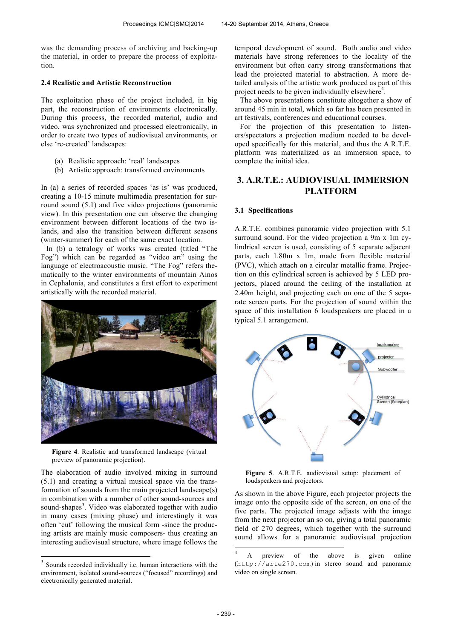was the demanding process of archiving and backing-up the material, in order to prepare the process of exploitation.

### **2.4 Realistic and Artistic Reconstruction**

The exploitation phase of the project included, in big part, the reconstruction of environments electronically. During this process, the recorded material, audio and video, was synchronized and processed electronically, in order to create two types of audiovisual environments, or else 're-created' landscapes:

- (a) Realistic approach: 'real' landscapes
- (b) Artistic approach: transformed environments

In (a) a series of recorded spaces 'as is' was produced, creating a 10-15 minute multimedia presentation for surround sound (5.1) and five video projections (panoramic view). In this presentation one can observe the changing environment between different locations of the two islands, and also the transition between different seasons (winter-summer) for each of the same exact location.

In (b) a tetralogy of works was created (titled "The Fog") which can be regarded as "video art" using the language of electroacoustic music. "The Fog" refers thematically to the winter environments of mountain Ainos in Cephalonia, and constitutes a first effort to experiment artistically with the recorded material.



**Figure 4**. Realistic and transformed landscape (virtual preview of panoramic projection).

The elaboration of audio involved mixing in surround (5.1) and creating a virtual musical space via the transformation of sounds from the main projected landscape(s) in combination with a number of other sound-sources and sound-shapes<sup>3</sup>. Video was elaborated together with audio in many cases (mixing phase) and interestingly it was often 'cut' following the musical form -since the producing artists are mainly music composers- thus creating an interesting audiovisual structure, where image follows the

temporal development of sound. Both audio and video materials have strong references to the locality of the environment but often carry strong transformations that lead the projected material to abstraction. A more detailed analysis of the artistic work produced as part of this project needs to be given individually elsewhere<sup>4</sup>.

The above presentations constitute altogether a show of around 45 min in total, which so far has been presented in art festivals, conferences and educational courses.

For the projection of this presentation to listeners/spectators a projection medium needed to be developed specifically for this material, and thus the A.R.T.E. platform was materialized as an immersion space, to complete the initial idea.

# **3. A.R.T.E.: AUDIOVISUAL IMMERSION PLATFORM**

### **3.1 Specifications**

A.R.T.E. combines panoramic video projection with 5.1 surround sound. For the video projection a 9m x 1m cylindrical screen is used, consisting of 5 separate adjacent parts, each 1.80m x 1m, made from flexible material (PVC), which attach on a circular metallic frame. Projection on this cylindrical screen is achieved by 5 LED projectors, placed around the ceiling of the installation at 2.40m height, and projecting each on one of the 5 separate screen parts. For the projection of sound within the space of this installation 6 loudspeakers are placed in a typical 5.1 arrangement.



**Figure 5**. A.R.T.E. audiovisual setup: placement of loudspeakers and projectors.

As shown in the above Figure, each projector projects the image onto the opposite side of the screen, on one of the five parts. The projected image adjasts with the image from the next projector an so on, giving a total panoramic field of 270 degrees, which together with the surround sound allows for a panoramic audiovisual projection

-

<sup>&</sup>lt;sup>3</sup> Sounds recorded individually i.e. human interactions with the environment, isolated sound-sources ("focused" recordings) and electronically generated material.

<sup>4</sup> A preview of the above is given online (http://arte270.com)in stereo sound and panoramic video on single screen.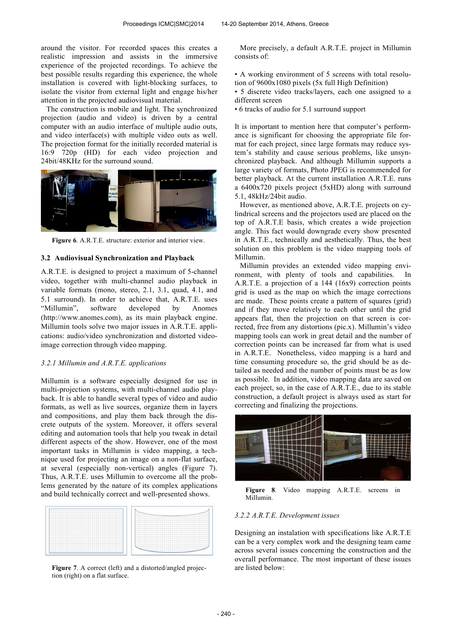around the visitor. For recorded spaces this creates a realistic impression and assists in the immersive experience of the projected recordings. To achieve the best possible results regarding this experience, the whole installation is covered with light-blocking surfaces, to isolate the visitor from external light and engage his/her attention in the projected audiovisual material.

The construction is mobile and light. The synchronized projection (audio and video) is driven by a central computer with an audio interface of multiple audio outs, and video interface(s) with multiple video outs as well. The projection format for the initially recorded material is 16:9 720p (HD) for each video projection and 24bit/48KHz for the surround sound.



**Figure 6**. A.R.T.E. structure: exterior and interior view.

### **3.2 Audiovisual Synchronization and Playback**

A.R.T.E. is designed to project a maximum of 5-channel video, together with multi-channel audio playback in variable formats (mono, stereo, 2.1, 3.1, quad, 4.1, and 5.1 surround). In order to achieve that, A.R.T.E. uses "Millumin", software developed by Anomes (http://www.anomes.com), as its main playback engine. Millumin tools solve two major issues in A.R.T.E. applications: audio/video synchronization and distorted videoimage correction through video mapping.

### *3.2.1 Millumin and A.R.T.E. applications*

Millumin is a software especially designed for use in multi-projection systems, with multi-channel audio playback. It is able to handle several types of video and audio formats, as well as live sources, organize them in layers and compositions, and play them back through the discrete outputs of the system. Moreover, it offers several editing and automation tools that help you tweak in detail different aspects of the show. However, one of the most important tasks in Millumin is video mapping, a technique used for projecting an image on a non-flat surface, at several (especially non-vertical) angles (Figure 7). Thus, A.R.T.E. uses Millumin to overcome all the problems generated by the nature of its complex applications and build technically correct and well-presented shows.



Figure 7. A correct (left) and a distorted/angled projection (right) on a flat surface.

More precisely, a default A.R.T.E. project in Millumin consists of:

• A working environment of 5 screens with total resolution of 9600x1080 pixels (5x full High Definition)

• 5 discrete video tracks/layers, each one assigned to a different screen

• 6 tracks of audio for 5.1 surround support

It is important to mention here that computer's performance is significant for choosing the appropriate file format for each project, since large formats may reduce system's stability and cause serious problems, like unsynchronized playback. And although Millumin supports a large variety of formats, Photo JPEG is recommended for better playback. At the current installation A.R.T.E. runs a 6400x720 pixels project (5xHD) along with surround 5.1, 48kHz/24bit audio.

However, as mentioned above, A.R.T.E. projects on cylindrical screens and the projectors used are placed on the top of A.R.T.E basis, which creates a wide projection angle. This fact would downgrade every show presented in A.R.T.E., technically and aesthetically. Thus, the best solution on this problem is the video mapping tools of Millumin.

Millumin provides an extended video mapping environment, with plenty of tools and capabilities. In A.R.T.E. a projection of a 144 (16x9) correction points grid is used as the map on which the image corrections are made. These points create a pattern of squares (grid) and if they move relatively to each other until the grid appears flat, then the projection on that screen is corrected, free from any distortions (pic.x). Millumin's video mapping tools can work in great detail and the number of correction points can be increased far from what is used in A.R.T.E. Nonetheless, video mapping is a hard and time consuming procedure so, the grid should be as detailed as needed and the number of points must be as low as possible. In addition, video mapping data are saved on each project, so, in the case of A.R.T.E., due to its stable construction, a default project is always used as start for correcting and finalizing the projections.



**Figure 8**. Video mapping A.R.T.E. screens in Millumin.

### *3.2.2 A.R.T.E. Development issues*

Designing an instalation with specifications like A.R.T.E can be a very complex work and the designing team came across several issues concerning the construction and the overall performance. The most important of these issues are listed below: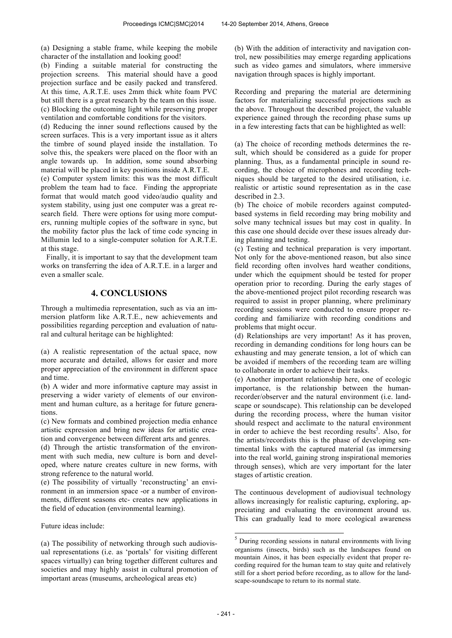(a) Designing a stable frame, while keeping the mobile character of the installation and looking good!

(b) Finding a suitable material for constructing the projection screens. This material should have a good projection surface and be easily packed and transfered. At this time, A.R.T.E. uses 2mm thick white foam PVC but still there is a great research by the team on this issue. (c) Blocking the outcoming light while preserving proper ventilation and comfortable conditions for the visitors.

(d) Reducing the inner sound reflections caused by the screen surfaces. This is a very important issue as it alters the timbre of sound played inside the installation. To solve this, the speakers were placed on the floor with an angle towards up. In addition, some sound absorbing material will be placed in key positions inside A.R.T.E.

(e) Computer system limits: this was the most difficult problem the team had to face. Finding the appropriate format that would match good video/audio quality and system stability, using just one computer was a great research field. There were options for using more computers, running multiple copies of the software in sync, but the mobility factor plus the lack of time code syncing in Millumin led to a single-computer solution for A.R.T.E. at this stage.

Finally, it is important to say that the development team works on transferring the idea of A.R.T.E. in a larger and even a smaller scale.

# **4. CONCLUSIONS**

Through a multimedia representation, such as via an immersion platform like A.R.T.E., new achievements and possibilities regarding perception and evaluation of natural and cultural heritage can be highlighted:

(a) A realistic representation of the actual space, now more accurate and detailed, allows for easier and more proper appreciation of the environment in different space and time.

(b) A wider and more informative capture may assist in preserving a wider variety of elements of our environment and human culture, as a heritage for future generations.

(c) New formats and combined projection media enhance artistic expression and bring new ideas for artistic creation and convergence between different arts and genres.

(d) Through the artistic transformation of the environment with such media, new culture is born and developed, where nature creates culture in new forms, with strong reference to the natural world.

(e) The possibility of virtually 'reconstructing' an environment in an immersion space -or a number of environments, different seasons etc- creates new applications in the field of education (environmental learning).

Future ideas include:

(a) The possibility of networking through such audiovisual representations (i.e. as 'portals' for visiting different spaces virtually) can bring together different cultures and societies and may highly assist in cultural promotion of important areas (museums, archeological areas etc)

(b) With the addition of interactivity and navigation control, new possibilities may emerge regarding applications such as video games and simulators, where immersive navigation through spaces is highly important.

Recording and preparing the material are determining factors for materializing successful projections such as the above. Throughout the described project, the valuable experience gained through the recording phase sums up in a few interesting facts that can be highlighted as well:

(a) The choice of recording methods determines the result, which should be considered as a guide for proper planning. Thus, as a fundamental principle in sound recording, the choice of microphones and recording techniques should be targeted to the desired utilisation, i.e. realistic or artistic sound representation as in the case described in 2.3.

(b) The choice of mobile recorders against computedbased systems in field recording may bring mobility and solve many technical issues but may cost in quality. In this case one should decide over these issues already during planning and testing.

(c) Testing and technical preparation is very important. Not only for the above-mentioned reason, but also since field recording often involves hard weather conditions, under which the equipment should be tested for proper operation prior to recording. During the early stages of the above-mentioned project pilot recording research was required to assist in proper planning, where preliminary recording sessions were conducted to ensure proper recording and familiarize with recording conditions and problems that might occur.

(d) Relationships are very important! As it has proven, recording in demanding conditions for long hours can be exhausting and may generate tension, a lot of which can be avoided if members of the recording team are willing to collaborate in order to achieve their tasks.

(e) Another important relationship here, one of ecologic importance, is the relationship between the humanrecorder/observer and the natural environment (i.e. landscape or soundscape). This relationship can be developed during the recording process, where the human visitor should respect and acclimate to the natural environment in order to achieve the best recording results<sup>5</sup>. Also, for the artists/recordists this is the phase of developing sentimental links with the captured material (as immersing into the real world, gaining strong inspirational memories through senses), which are very important for the later stages of artistic creation.

The continuous development of audiovisual technology allows increasingly for realistic capturing, exploring, appreciating and evaluating the environment around us. This can gradually lead to more ecological awareness

-

 $<sup>5</sup>$  During recording sessions in natural environments with living</sup> organisms (insects, birds) such as the landscapes found on mountain Ainos, it has been especially evident that proper recording required for the human team to stay quite and relatively still for a short period before recording, as to allow for the landscape-soundscape to return to its normal state.